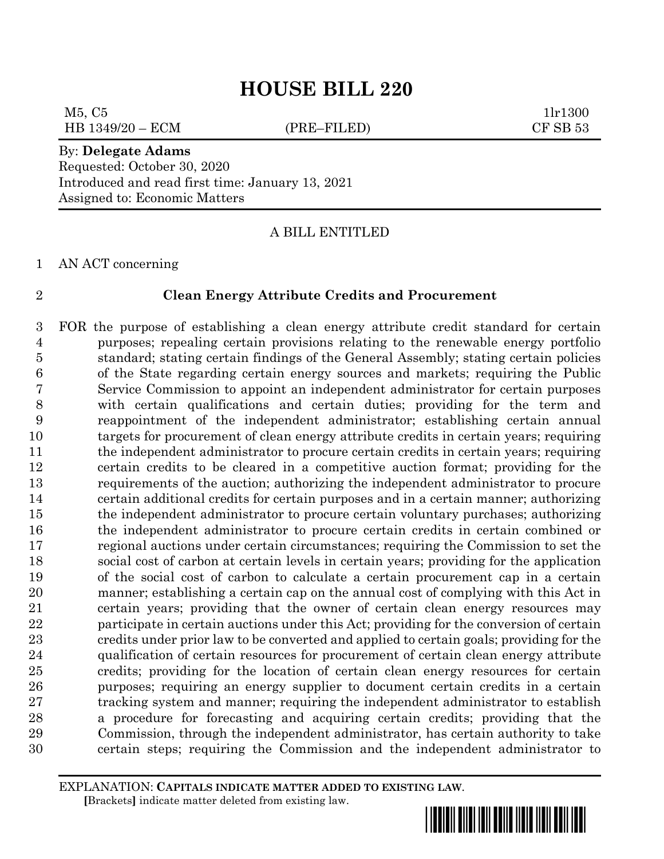$M5, C5$  1lr1300 HB 1349/20 – ECM (PRE–FILED) CF SB 53

#### By: **Delegate Adams** Requested: October 30, 2020

Introduced and read first time: January 13, 2021 Assigned to: Economic Matters

# A BILL ENTITLED

AN ACT concerning

#### **Clean Energy Attribute Credits and Procurement**

 FOR the purpose of establishing a clean energy attribute credit standard for certain purposes; repealing certain provisions relating to the renewable energy portfolio standard; stating certain findings of the General Assembly; stating certain policies of the State regarding certain energy sources and markets; requiring the Public Service Commission to appoint an independent administrator for certain purposes with certain qualifications and certain duties; providing for the term and reappointment of the independent administrator; establishing certain annual targets for procurement of clean energy attribute credits in certain years; requiring the independent administrator to procure certain credits in certain years; requiring certain credits to be cleared in a competitive auction format; providing for the requirements of the auction; authorizing the independent administrator to procure certain additional credits for certain purposes and in a certain manner; authorizing the independent administrator to procure certain voluntary purchases; authorizing the independent administrator to procure certain credits in certain combined or regional auctions under certain circumstances; requiring the Commission to set the social cost of carbon at certain levels in certain years; providing for the application of the social cost of carbon to calculate a certain procurement cap in a certain manner; establishing a certain cap on the annual cost of complying with this Act in certain years; providing that the owner of certain clean energy resources may participate in certain auctions under this Act; providing for the conversion of certain credits under prior law to be converted and applied to certain goals; providing for the qualification of certain resources for procurement of certain clean energy attribute credits; providing for the location of certain clean energy resources for certain purposes; requiring an energy supplier to document certain credits in a certain tracking system and manner; requiring the independent administrator to establish a procedure for forecasting and acquiring certain credits; providing that the Commission, through the independent administrator, has certain authority to take certain steps; requiring the Commission and the independent administrator to

EXPLANATION: **CAPITALS INDICATE MATTER ADDED TO EXISTING LAW**.  **[**Brackets**]** indicate matter deleted from existing law.

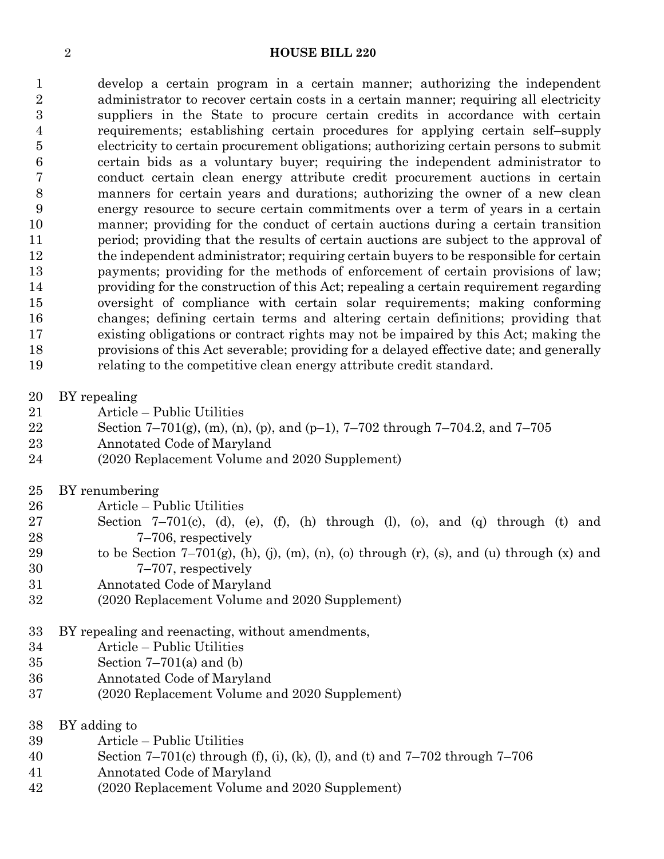develop a certain program in a certain manner; authorizing the independent 2 administrator to recover certain costs in a certain manner; requiring all electricity suppliers in the State to procure certain credits in accordance with certain requirements; establishing certain procedures for applying certain self–supply electricity to certain procurement obligations; authorizing certain persons to submit certain bids as a voluntary buyer; requiring the independent administrator to conduct certain clean energy attribute credit procurement auctions in certain manners for certain years and durations; authorizing the owner of a new clean energy resource to secure certain commitments over a term of years in a certain manner; providing for the conduct of certain auctions during a certain transition period; providing that the results of certain auctions are subject to the approval of 12 the independent administrator; requiring certain buyers to be responsible for certain payments; providing for the methods of enforcement of certain provisions of law; providing for the construction of this Act; repealing a certain requirement regarding oversight of compliance with certain solar requirements; making conforming changes; defining certain terms and altering certain definitions; providing that existing obligations or contract rights may not be impaired by this Act; making the provisions of this Act severable; providing for a delayed effective date; and generally relating to the competitive clean energy attribute credit standard.

- BY repealing
- Article Public Utilities
- 22 Section  $7-701(g)$ , (m), (n), (p), and (p-1),  $7-702$  through  $7-704.2$ , and  $7-705$
- Annotated Code of Maryland
- (2020 Replacement Volume and 2020 Supplement)
- BY renumbering
- Article Public Utilities
- Section 7–701(c), (d), (e), (f), (h) through (l), (o), and (q) through (t) and 7–706, respectively
- 29 to be Section  $7-701(g)$ , (h), (j), (m), (n), (o) through (r), (s), and (u) through (x) and 7–707, respectively
- Annotated Code of Maryland
- (2020 Replacement Volume and 2020 Supplement)
- BY repealing and reenacting, without amendments,
- Article Public Utilities
- Section 7–701(a) and (b)
- Annotated Code of Maryland
- (2020 Replacement Volume and 2020 Supplement)
- BY adding to
- Article Public Utilities
- Section 7–701(c) through (f), (i), (k), (l), and (t) and 7–702 through 7–706
- Annotated Code of Maryland
- (2020 Replacement Volume and 2020 Supplement)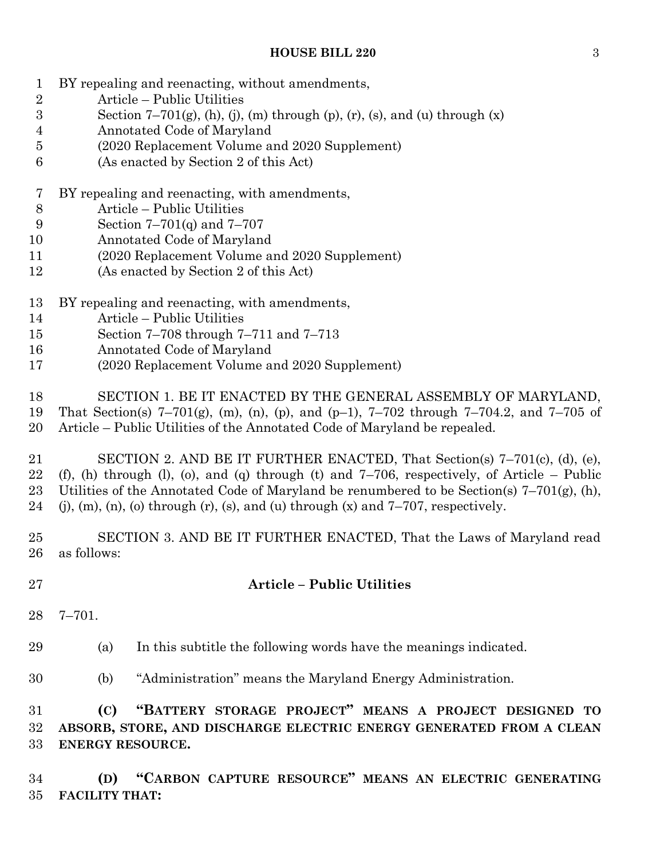- BY repealing and reenacting, without amendments,
- Article Public Utilities
- 3 Section  $7-701(g)$ , (h), (j), (m) through (p), (r), (s), and (u) through (x)
- Annotated Code of Maryland
- (2020 Replacement Volume and 2020 Supplement)
- (As enacted by Section 2 of this Act)
- BY repealing and reenacting, with amendments,
- Article Public Utilities
- Section 7–701(q) and 7–707
- Annotated Code of Maryland
- (2020 Replacement Volume and 2020 Supplement)
- (As enacted by Section 2 of this Act)
- BY repealing and reenacting, with amendments,
- Article Public Utilities
- Section 7–708 through 7–711 and 7–713
- Annotated Code of Maryland
- (2020 Replacement Volume and 2020 Supplement)
- SECTION 1. BE IT ENACTED BY THE GENERAL ASSEMBLY OF MARYLAND, That Section(s) 7–701(g), (m), (n), (p), and (p–1), 7–702 through 7–704.2, and 7–705 of Article – Public Utilities of the Annotated Code of Maryland be repealed.
- SECTION 2. AND BE IT FURTHER ENACTED, That Section(s) 7–701(c), (d), (e), 22 (f), (h) through (l), (o), and (q) through (t) and  $7-706$ , respectively, of Article – Public 23 Utilities of the Annotated Code of Maryland be renumbered to be Section(s)  $7-701(g)$ , (h), 24 (j), (m), (n), (o) through (r), (s), and (u) through (x) and  $7-707$ , respectively.
- SECTION 3. AND BE IT FURTHER ENACTED, That the Laws of Maryland read as follows:
- 

# **Article – Public Utilities**

- 7–701.
- (a) In this subtitle the following words have the meanings indicated.
- (b) "Administration" means the Maryland Energy Administration.
- **(C) "BATTERY STORAGE PROJECT" MEANS A PROJECT DESIGNED TO ABSORB, STORE, AND DISCHARGE ELECTRIC ENERGY GENERATED FROM A CLEAN ENERGY RESOURCE.**
- **(D) "CARBON CAPTURE RESOURCE" MEANS AN ELECTRIC GENERATING FACILITY THAT:**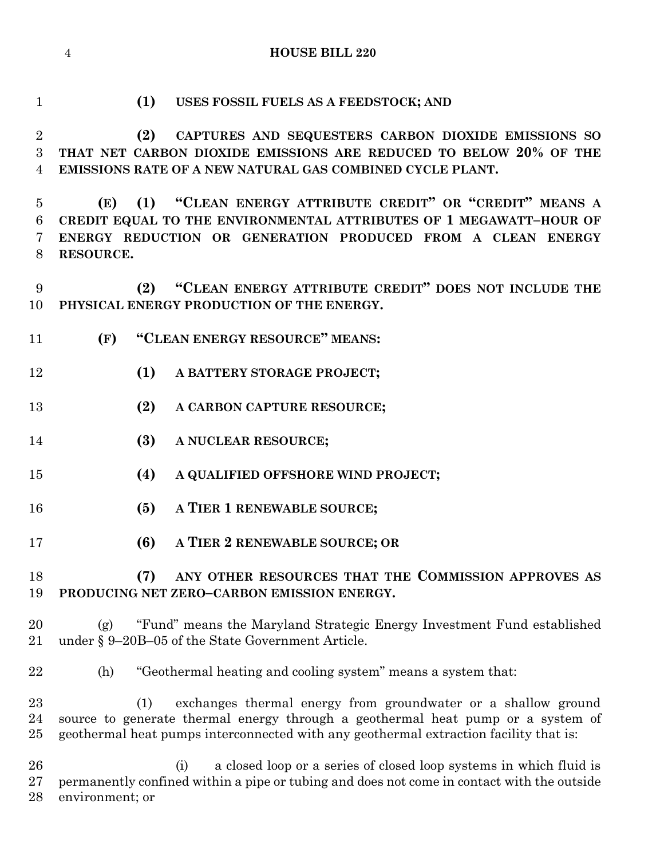**(1) USES FOSSIL FUELS AS A FEEDSTOCK; AND (2) CAPTURES AND SEQUESTERS CARBON DIOXIDE EMISSIONS SO THAT NET CARBON DIOXIDE EMISSIONS ARE REDUCED TO BELOW 20% OF THE EMISSIONS RATE OF A NEW NATURAL GAS COMBINED CYCLE PLANT. (E) (1) "CLEAN ENERGY ATTRIBUTE CREDIT" OR "CREDIT" MEANS A CREDIT EQUAL TO THE ENVIRONMENTAL ATTRIBUTES OF 1 MEGAWATT–HOUR OF ENERGY REDUCTION OR GENERATION PRODUCED FROM A CLEAN ENERGY RESOURCE. (2) "CLEAN ENERGY ATTRIBUTE CREDIT" DOES NOT INCLUDE THE PHYSICAL ENERGY PRODUCTION OF THE ENERGY. (F) "CLEAN ENERGY RESOURCE" MEANS: (1) A BATTERY STORAGE PROJECT; (2) A CARBON CAPTURE RESOURCE; (3) A NUCLEAR RESOURCE; (4) A QUALIFIED OFFSHORE WIND PROJECT; (5) A TIER 1 RENEWABLE SOURCE; (6) A TIER 2 RENEWABLE SOURCE; OR (7) ANY OTHER RESOURCES THAT THE COMMISSION APPROVES AS PRODUCING NET ZERO–CARBON EMISSION ENERGY.** (g) "Fund" means the Maryland Strategic Energy Investment Fund established under § 9–20B–05 of the State Government Article. (h) "Geothermal heating and cooling system" means a system that: (1) exchanges thermal energy from groundwater or a shallow ground source to generate thermal energy through a geothermal heat pump or a system of geothermal heat pumps interconnected with any geothermal extraction facility that is: (i) a closed loop or a series of closed loop systems in which fluid is permanently confined within a pipe or tubing and does not come in contact with the outside environment; or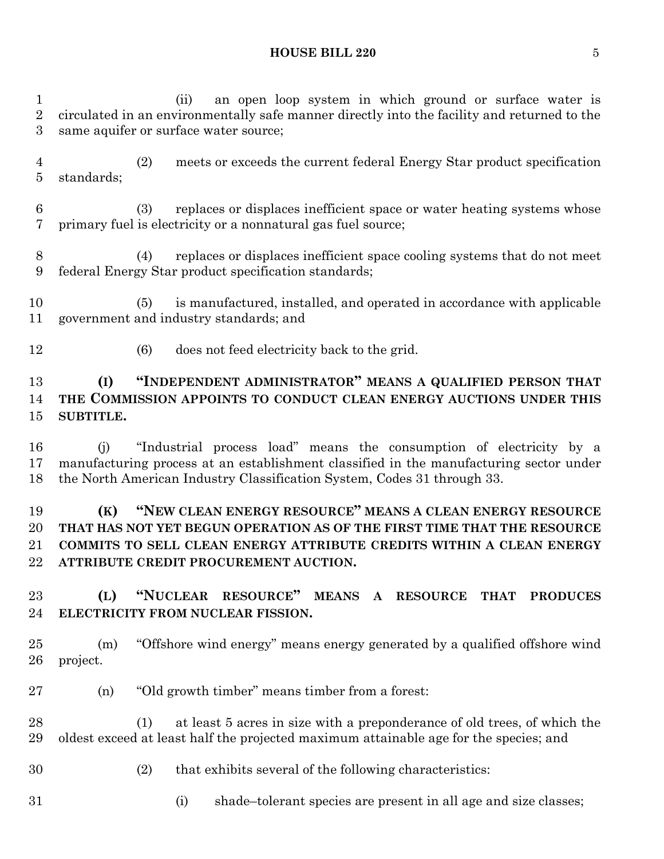(ii) an open loop system in which ground or surface water is circulated in an environmentally safe manner directly into the facility and returned to the same aquifer or surface water source;

- (2) meets or exceeds the current federal Energy Star product specification standards;
- (3) replaces or displaces inefficient space or water heating systems whose primary fuel is electricity or a nonnatural gas fuel source;
- (4) replaces or displaces inefficient space cooling systems that do not meet federal Energy Star product specification standards;
- (5) is manufactured, installed, and operated in accordance with applicable government and industry standards; and
- (6) does not feed electricity back to the grid.

# **(I) "INDEPENDENT ADMINISTRATOR" MEANS A QUALIFIED PERSON THAT THE COMMISSION APPOINTS TO CONDUCT CLEAN ENERGY AUCTIONS UNDER THIS SUBTITLE.**

 (j) "Industrial process load" means the consumption of electricity by a manufacturing process at an establishment classified in the manufacturing sector under the North American Industry Classification System, Codes 31 through 33.

# **(K) "NEW CLEAN ENERGY RESOURCE" MEANS A CLEAN ENERGY RESOURCE THAT HAS NOT YET BEGUN OPERATION AS OF THE FIRST TIME THAT THE RESOURCE COMMITS TO SELL CLEAN ENERGY ATTRIBUTE CREDITS WITHIN A CLEAN ENERGY ATTRIBUTE CREDIT PROCUREMENT AUCTION.**

# **(L) "NUCLEAR RESOURCE" MEANS A RESOURCE THAT PRODUCES ELECTRICITY FROM NUCLEAR FISSION.**

 (m) "Offshore wind energy" means energy generated by a qualified offshore wind project.

- (n) "Old growth timber" means timber from a forest:
- (1) at least 5 acres in size with a preponderance of old trees, of which the oldest exceed at least half the projected maximum attainable age for the species; and
- 
- (2) that exhibits several of the following characteristics:
- 
- (i) shade–tolerant species are present in all age and size classes;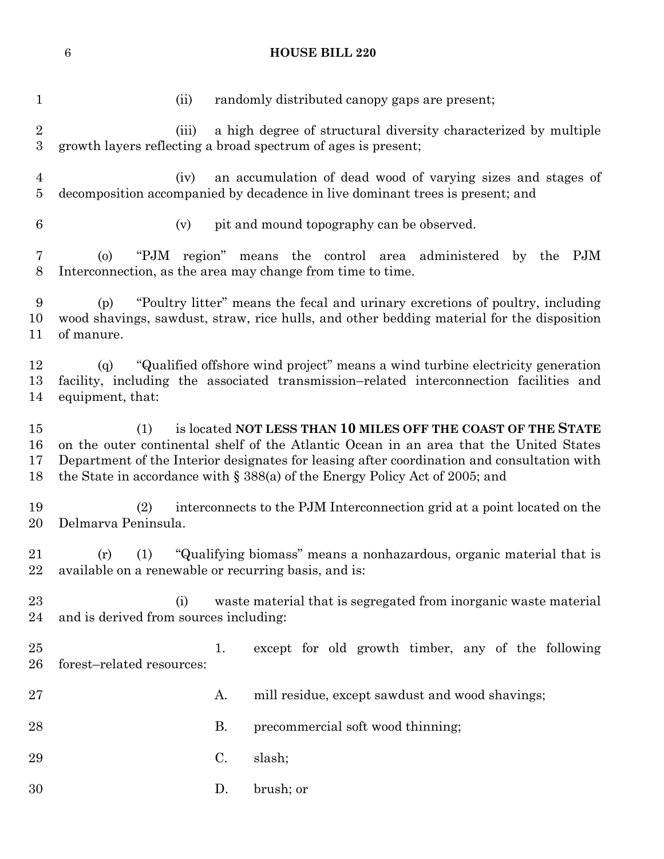(ii) randomly distributed canopy gaps are present; (iii) a high degree of structural diversity characterized by multiple growth layers reflecting a broad spectrum of ages is present; (iv) an accumulation of dead wood of varying sizes and stages of decomposition accompanied by decadence in live dominant trees is present; and (v) pit and mound topography can be observed. (o) "PJM region" means the control area administered by the PJM Interconnection, as the area may change from time to time. (p) "Poultry litter" means the fecal and urinary excretions of poultry, including wood shavings, sawdust, straw, rice hulls, and other bedding material for the disposition of manure. (q) "Qualified offshore wind project" means a wind turbine electricity generation facility, including the associated transmission–related interconnection facilities and equipment, that: (1) is located **NOT LESS THAN 10 MILES OFF THE COAST OF THE STATE** on the outer continental shelf of the Atlantic Ocean in an area that the United States Department of the Interior designates for leasing after coordination and consultation with the State in accordance with § 388(a) of the Energy Policy Act of 2005; and (2) interconnects to the PJM Interconnection grid at a point located on the Delmarva Peninsula. (r) (1) "Qualifying biomass" means a nonhazardous, organic material that is available on a renewable or recurring basis, and is: (i) waste material that is segregated from inorganic waste material and is derived from sources including: 1. except for old growth timber, any of the following forest–related resources: 27 A. mill residue, except sawdust and wood shavings; 28 B. precommercial soft wood thinning; 29 C. slash; D. brush; or

**HOUSE BILL 220**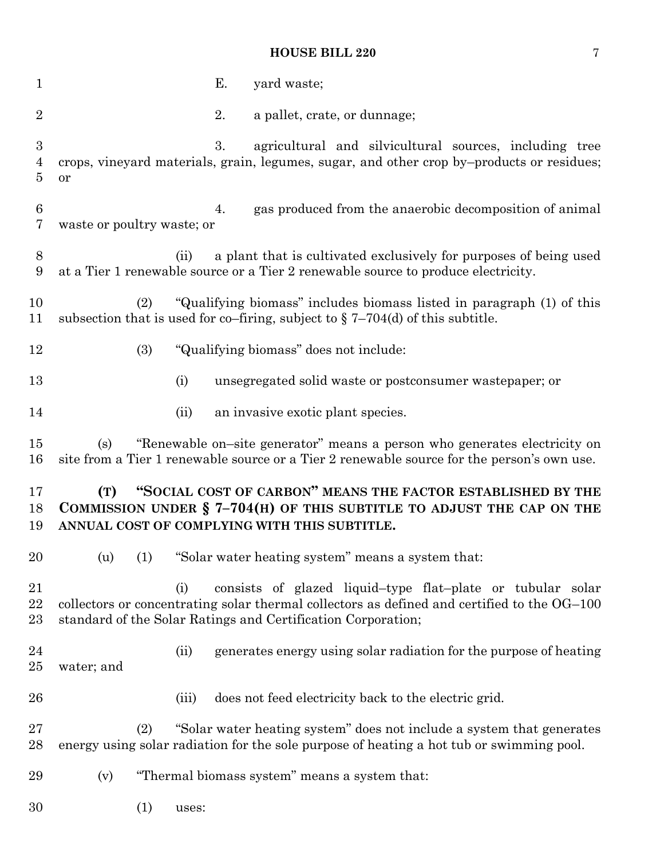| $\mathbf{1}$                            | Е.<br>yard waste;                                                                                                                                                                                                                |
|-----------------------------------------|----------------------------------------------------------------------------------------------------------------------------------------------------------------------------------------------------------------------------------|
| $\overline{2}$                          | 2.<br>a pallet, crate, or dunnage;                                                                                                                                                                                               |
| $\boldsymbol{3}$<br>$\overline{4}$<br>5 | agricultural and silvicultural sources, including tree<br>3.<br>crops, vineyard materials, grain, legumes, sugar, and other crop by-products or residues;<br>or                                                                  |
| $\,6$<br>7                              | gas produced from the anaerobic decomposition of animal<br>4.<br>waste or poultry waste; or                                                                                                                                      |
| 8<br>9                                  | a plant that is cultivated exclusively for purposes of being used<br>(ii)<br>at a Tier 1 renewable source or a Tier 2 renewable source to produce electricity.                                                                   |
| 10<br>11                                | "Qualifying biomass" includes biomass listed in paragraph (1) of this<br>(2)<br>subsection that is used for co-firing, subject to $\S 7-704(d)$ of this subtitle.                                                                |
| 12                                      | (3)<br>"Qualifying biomass" does not include:                                                                                                                                                                                    |
| 13                                      | (i)<br>unsegregated solid waste or postconsumer wastepaper; or                                                                                                                                                                   |
| 14                                      | (ii)<br>an invasive exotic plant species.                                                                                                                                                                                        |
| 15<br>16                                | "Renewable on-site generator" means a person who generates electricity on<br>(s)<br>site from a Tier 1 renewable source or a Tier 2 renewable source for the person's own use.                                                   |
| 17<br>18<br>19                          | "SOCIAL COST OF CARBON" MEANS THE FACTOR ESTABLISHED BY THE<br>(T)<br>COMMISSION UNDER $\S$ 7-704(H) OF THIS SUBTITLE TO ADJUST THE CAP ON THE<br>ANNUAL COST OF COMPLYING WITH THIS SUBTITLE.                                   |
| 20                                      | (u) (1) "Solar water heating system" means a system that:                                                                                                                                                                        |
| 21<br>22<br>$23\,$                      | consists of glazed liquid-type flat-plate or tubular solar<br>(i)<br>collectors or concentrating solar thermal collectors as defined and certified to the OG-100<br>standard of the Solar Ratings and Certification Corporation; |
| 24<br>$25\,$                            | generates energy using solar radiation for the purpose of heating<br>(ii)<br>water; and                                                                                                                                          |
| 26                                      | does not feed electricity back to the electric grid.<br>(iii)                                                                                                                                                                    |
| $27\,$<br>28                            | "Solar water heating system" does not include a system that generates<br>(2)<br>energy using solar radiation for the sole purpose of heating a hot tub or swimming pool.                                                         |
| 29                                      | "Thermal biomass system" means a system that:<br>(v)                                                                                                                                                                             |
| 30                                      | (1)<br>uses:                                                                                                                                                                                                                     |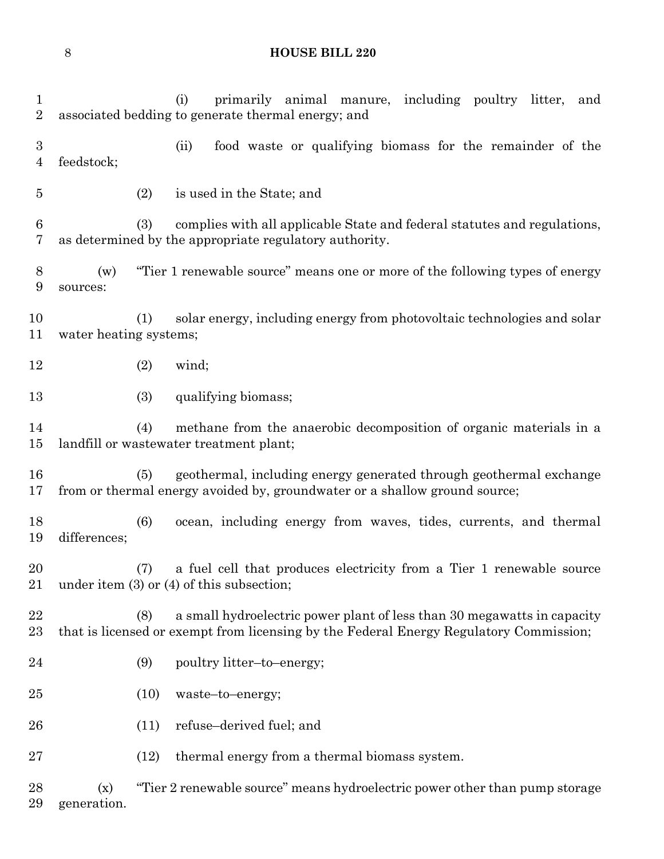| 1<br>$\overline{2}$                |                        |      | primarily animal manure, including poultry litter,<br>(i)<br>and<br>associated bedding to generate thermal energy; and                                            |
|------------------------------------|------------------------|------|-------------------------------------------------------------------------------------------------------------------------------------------------------------------|
| $\boldsymbol{3}$<br>$\overline{4}$ | feedstock;             |      | food waste or qualifying biomass for the remainder of the<br>(ii)                                                                                                 |
| 5                                  |                        | (2)  | is used in the State; and                                                                                                                                         |
| $\boldsymbol{6}$<br>7              |                        | (3)  | complies with all applicable State and federal statutes and regulations,<br>as determined by the appropriate regulatory authority.                                |
| 8<br>$\boldsymbol{9}$              | (w)<br>sources:        |      | "Tier 1 renewable source" means one or more of the following types of energy                                                                                      |
| 10<br>11                           | water heating systems; | (1)  | solar energy, including energy from photovoltaic technologies and solar                                                                                           |
| 12                                 |                        | (2)  | wind;                                                                                                                                                             |
| 13                                 |                        | (3)  | qualifying biomass;                                                                                                                                               |
| 14<br>15                           |                        | (4)  | methane from the anaerobic decomposition of organic materials in a<br>landfill or wastewater treatment plant;                                                     |
| 16<br>17                           |                        | (5)  | geothermal, including energy generated through geothermal exchange<br>from or thermal energy avoided by, groundwater or a shallow ground source;                  |
| 18<br>19                           | differences;           | (6)  | ocean, including energy from waves, tides, currents, and thermal                                                                                                  |
| 20<br>21                           |                        | (7)  | a fuel cell that produces electricity from a Tier 1 renewable source<br>under item $(3)$ or $(4)$ of this subsection;                                             |
| 22<br>23                           |                        | (8)  | a small hydroelectric power plant of less than 30 megawatts in capacity<br>that is licensed or exempt from licensing by the Federal Energy Regulatory Commission; |
| 24                                 |                        | (9)  | poultry litter-to-energy;                                                                                                                                         |
| 25                                 |                        | (10) | waste-to-energy;                                                                                                                                                  |
| 26                                 |                        | (11) | refuse-derived fuel; and                                                                                                                                          |
| 27                                 |                        | (12) | thermal energy from a thermal biomass system.                                                                                                                     |
| 28<br>29                           | (x)<br>generation.     |      | "Tier 2 renewable source" means hydroelectric power other than pump storage                                                                                       |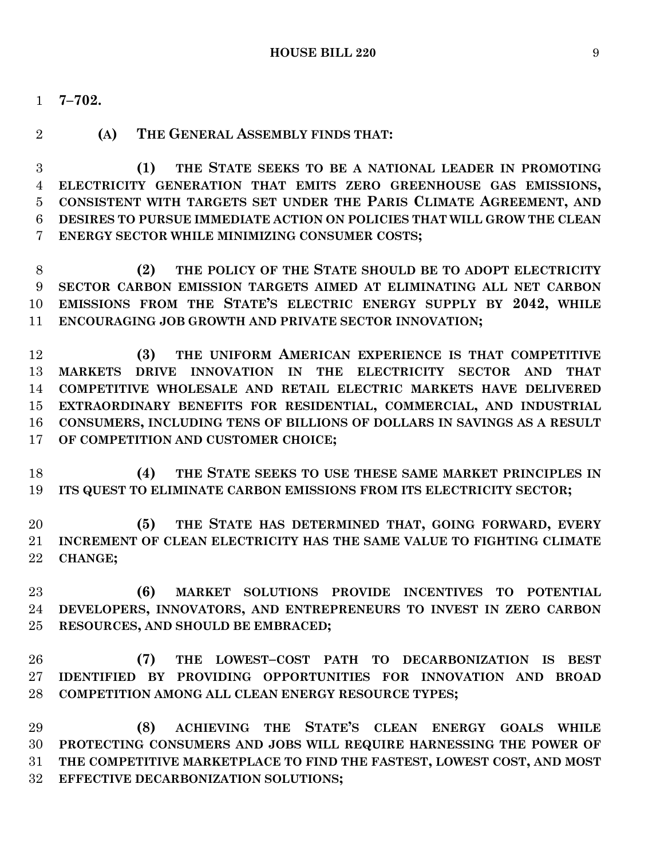- **7–702.**
- 

#### **(A) THE GENERAL ASSEMBLY FINDS THAT:**

 **(1) THE STATE SEEKS TO BE A NATIONAL LEADER IN PROMOTING ELECTRICITY GENERATION THAT EMITS ZERO GREENHOUSE GAS EMISSIONS, CONSISTENT WITH TARGETS SET UNDER THE PARIS CLIMATE AGREEMENT, AND DESIRES TO PURSUE IMMEDIATE ACTION ON POLICIES THAT WILL GROW THE CLEAN ENERGY SECTOR WHILE MINIMIZING CONSUMER COSTS;**

 **(2) THE POLICY OF THE STATE SHOULD BE TO ADOPT ELECTRICITY SECTOR CARBON EMISSION TARGETS AIMED AT ELIMINATING ALL NET CARBON EMISSIONS FROM THE STATE'S ELECTRIC ENERGY SUPPLY BY 2042, WHILE ENCOURAGING JOB GROWTH AND PRIVATE SECTOR INNOVATION;**

 **(3) THE UNIFORM AMERICAN EXPERIENCE IS THAT COMPETITIVE MARKETS DRIVE INNOVATION IN THE ELECTRICITY SECTOR AND THAT COMPETITIVE WHOLESALE AND RETAIL ELECTRIC MARKETS HAVE DELIVERED EXTRAORDINARY BENEFITS FOR RESIDENTIAL, COMMERCIAL, AND INDUSTRIAL CONSUMERS, INCLUDING TENS OF BILLIONS OF DOLLARS IN SAVINGS AS A RESULT OF COMPETITION AND CUSTOMER CHOICE;**

 **(4) THE STATE SEEKS TO USE THESE SAME MARKET PRINCIPLES IN ITS QUEST TO ELIMINATE CARBON EMISSIONS FROM ITS ELECTRICITY SECTOR;**

 **(5) THE STATE HAS DETERMINED THAT, GOING FORWARD, EVERY INCREMENT OF CLEAN ELECTRICITY HAS THE SAME VALUE TO FIGHTING CLIMATE CHANGE;**

 **(6) MARKET SOLUTIONS PROVIDE INCENTIVES TO POTENTIAL DEVELOPERS, INNOVATORS, AND ENTREPRENEURS TO INVEST IN ZERO CARBON RESOURCES, AND SHOULD BE EMBRACED;**

 **(7) THE LOWEST–COST PATH TO DECARBONIZATION IS BEST IDENTIFIED BY PROVIDING OPPORTUNITIES FOR INNOVATION AND BROAD COMPETITION AMONG ALL CLEAN ENERGY RESOURCE TYPES;**

 **(8) ACHIEVING THE STATE'S CLEAN ENERGY GOALS WHILE PROTECTING CONSUMERS AND JOBS WILL REQUIRE HARNESSING THE POWER OF THE COMPETITIVE MARKETPLACE TO FIND THE FASTEST, LOWEST COST, AND MOST EFFECTIVE DECARBONIZATION SOLUTIONS;**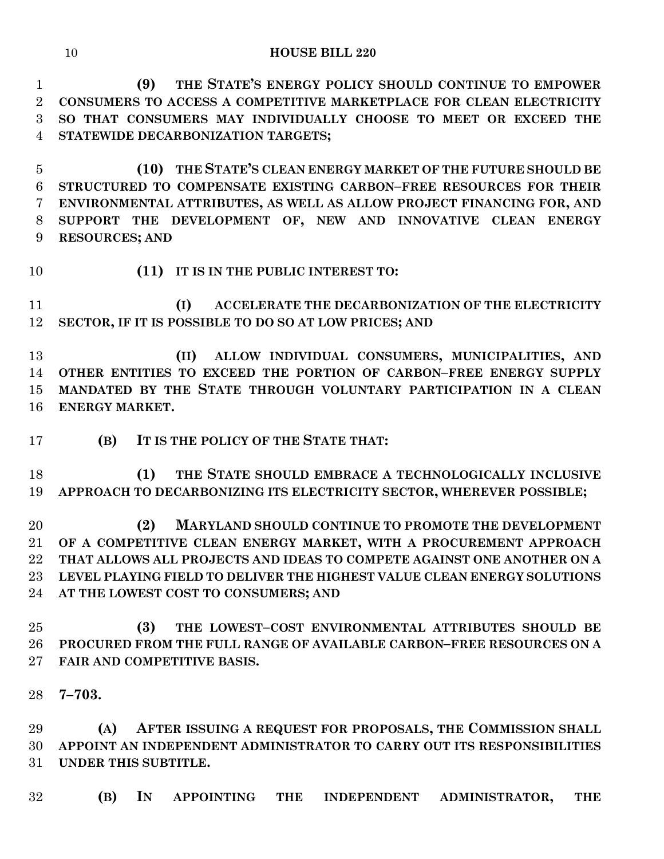**(9) THE STATE'S ENERGY POLICY SHOULD CONTINUE TO EMPOWER CONSUMERS TO ACCESS A COMPETITIVE MARKETPLACE FOR CLEAN ELECTRICITY SO THAT CONSUMERS MAY INDIVIDUALLY CHOOSE TO MEET OR EXCEED THE STATEWIDE DECARBONIZATION TARGETS;**

 **(10) THE STATE'S CLEAN ENERGY MARKET OF THE FUTURE SHOULD BE STRUCTURED TO COMPENSATE EXISTING CARBON–FREE RESOURCES FOR THEIR ENVIRONMENTAL ATTRIBUTES, AS WELL AS ALLOW PROJECT FINANCING FOR, AND SUPPORT THE DEVELOPMENT OF, NEW AND INNOVATIVE CLEAN ENERGY RESOURCES; AND**

**(11) IT IS IN THE PUBLIC INTEREST TO:**

 **(I) ACCELERATE THE DECARBONIZATION OF THE ELECTRICITY SECTOR, IF IT IS POSSIBLE TO DO SO AT LOW PRICES; AND**

 **(II) ALLOW INDIVIDUAL CONSUMERS, MUNICIPALITIES, AND OTHER ENTITIES TO EXCEED THE PORTION OF CARBON–FREE ENERGY SUPPLY MANDATED BY THE STATE THROUGH VOLUNTARY PARTICIPATION IN A CLEAN ENERGY MARKET.**

**(B) IT IS THE POLICY OF THE STATE THAT:**

 **(1) THE STATE SHOULD EMBRACE A TECHNOLOGICALLY INCLUSIVE APPROACH TO DECARBONIZING ITS ELECTRICITY SECTOR, WHEREVER POSSIBLE;**

 **(2) MARYLAND SHOULD CONTINUE TO PROMOTE THE DEVELOPMENT OF A COMPETITIVE CLEAN ENERGY MARKET, WITH A PROCUREMENT APPROACH THAT ALLOWS ALL PROJECTS AND IDEAS TO COMPETE AGAINST ONE ANOTHER ON A LEVEL PLAYING FIELD TO DELIVER THE HIGHEST VALUE CLEAN ENERGY SOLUTIONS AT THE LOWEST COST TO CONSUMERS; AND**

 **(3) THE LOWEST–COST ENVIRONMENTAL ATTRIBUTES SHOULD BE PROCURED FROM THE FULL RANGE OF AVAILABLE CARBON–FREE RESOURCES ON A FAIR AND COMPETITIVE BASIS.**

**7–703.**

 **(A) AFTER ISSUING A REQUEST FOR PROPOSALS, THE COMMISSION SHALL APPOINT AN INDEPENDENT ADMINISTRATOR TO CARRY OUT ITS RESPONSIBILITIES UNDER THIS SUBTITLE.**

**(B) IN APPOINTING THE INDEPENDENT ADMINISTRATOR, THE**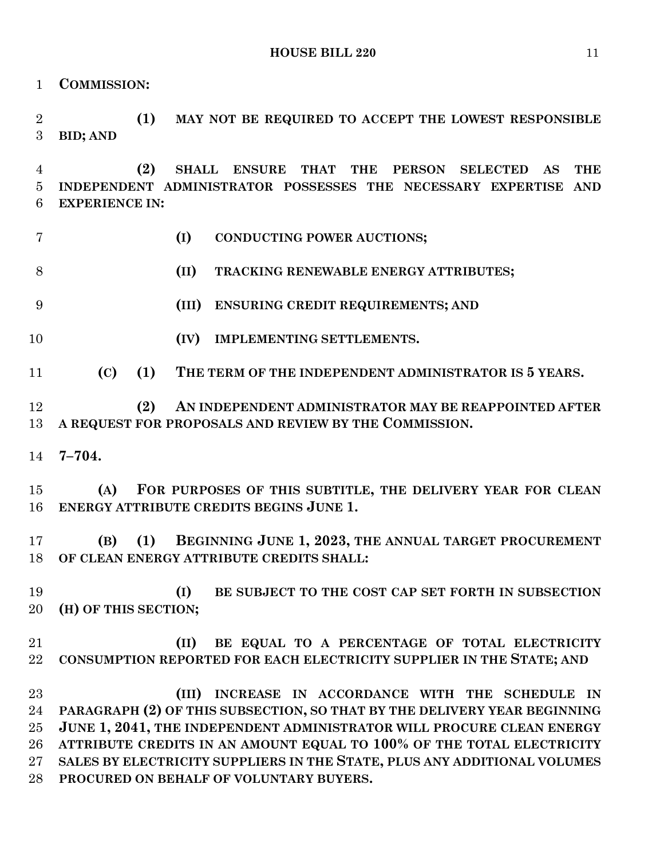**COMMISSION:**

 **(1) MAY NOT BE REQUIRED TO ACCEPT THE LOWEST RESPONSIBLE BID; AND**

 **(2) SHALL ENSURE THAT THE PERSON SELECTED AS THE INDEPENDENT ADMINISTRATOR POSSESSES THE NECESSARY EXPERTISE AND EXPERIENCE IN:**

**(I) CONDUCTING POWER AUCTIONS;**

**(II) TRACKING RENEWABLE ENERGY ATTRIBUTES;**

- **(III) ENSURING CREDIT REQUIREMENTS; AND**
- 
- **(IV) IMPLEMENTING SETTLEMENTS.**

**(C) (1) THE TERM OF THE INDEPENDENT ADMINISTRATOR IS 5 YEARS.**

 **(2) AN INDEPENDENT ADMINISTRATOR MAY BE REAPPOINTED AFTER A REQUEST FOR PROPOSALS AND REVIEW BY THE COMMISSION.**

**7–704.**

 **(A) FOR PURPOSES OF THIS SUBTITLE, THE DELIVERY YEAR FOR CLEAN ENERGY ATTRIBUTE CREDITS BEGINS JUNE 1.**

 **(B) (1) BEGINNING JUNE 1, 2023, THE ANNUAL TARGET PROCUREMENT OF CLEAN ENERGY ATTRIBUTE CREDITS SHALL:**

 **(I) BE SUBJECT TO THE COST CAP SET FORTH IN SUBSECTION (H) OF THIS SECTION;**

# **(II) BE EQUAL TO A PERCENTAGE OF TOTAL ELECTRICITY CONSUMPTION REPORTED FOR EACH ELECTRICITY SUPPLIER IN THE STATE; AND**

 **(III) INCREASE IN ACCORDANCE WITH THE SCHEDULE IN PARAGRAPH (2) OF THIS SUBSECTION, SO THAT BY THE DELIVERY YEAR BEGINNING JUNE 1, 2041, THE INDEPENDENT ADMINISTRATOR WILL PROCURE CLEAN ENERGY ATTRIBUTE CREDITS IN AN AMOUNT EQUAL TO 100% OF THE TOTAL ELECTRICITY SALES BY ELECTRICITY SUPPLIERS IN THE STATE, PLUS ANY ADDITIONAL VOLUMES PROCURED ON BEHALF OF VOLUNTARY BUYERS.**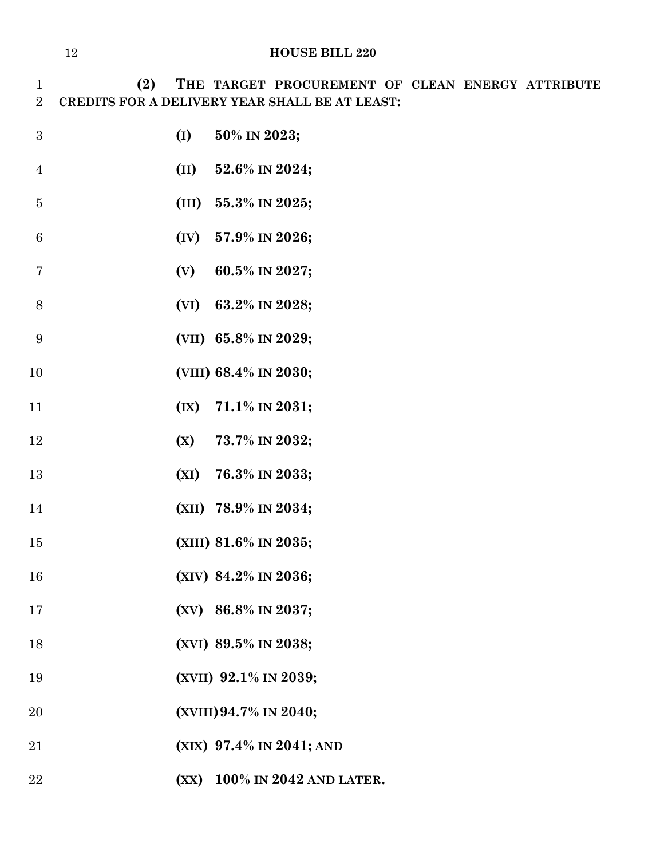**(2) THE TARGET PROCUREMENT OF CLEAN ENERGY ATTRIBUTE CREDITS FOR A DELIVERY YEAR SHALL BE AT LEAST:**

- **(I) 50% IN 2023; (II) 52.6% IN 2024; (III) 55.3% IN 2025; (IV) 57.9% IN 2026; (V) 60.5% IN 2027; (VI) 63.2% IN 2028; (VII) 65.8% IN 2029; (VIII) 68.4% IN 2030; (IX) 71.1% IN 2031; (X) 73.7% IN 2032; (XI) 76.3% IN 2033; (XII) 78.9% IN 2034; (XIII) 81.6% IN 2035; (XIV) 84.2% IN 2036; (XV) 86.8% IN 2037; (XVI) 89.5% IN 2038; (XVII) 92.1% IN 2039; (XVIII)94.7% IN 2040; (XIX) 97.4% IN 2041; AND**
- **(XX) 100% IN 2042 AND LATER.**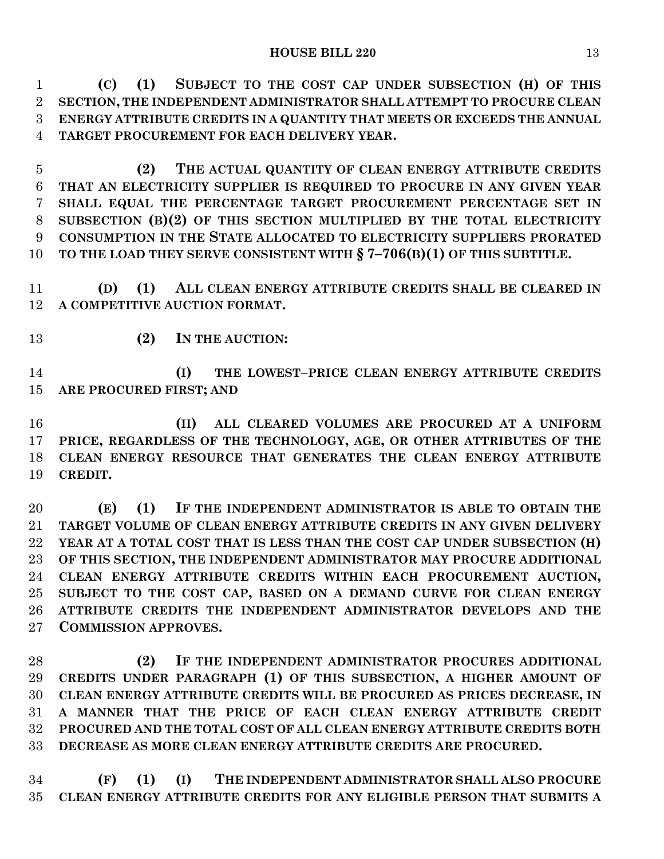**(C) (1) SUBJECT TO THE COST CAP UNDER SUBSECTION (H) OF THIS SECTION, THE INDEPENDENT ADMINISTRATOR SHALL ATTEMPT TO PROCURE CLEAN ENERGY ATTRIBUTE CREDITS IN A QUANTITY THAT MEETS OR EXCEEDS THE ANNUAL TARGET PROCUREMENT FOR EACH DELIVERY YEAR.**

 **(2) THE ACTUAL QUANTITY OF CLEAN ENERGY ATTRIBUTE CREDITS THAT AN ELECTRICITY SUPPLIER IS REQUIRED TO PROCURE IN ANY GIVEN YEAR SHALL EQUAL THE PERCENTAGE TARGET PROCUREMENT PERCENTAGE SET IN SUBSECTION (B)(2) OF THIS SECTION MULTIPLIED BY THE TOTAL ELECTRICITY CONSUMPTION IN THE STATE ALLOCATED TO ELECTRICITY SUPPLIERS PRORATED TO THE LOAD THEY SERVE CONSISTENT WITH § 7–706(B)(1) OF THIS SUBTITLE.**

 **(D) (1) ALL CLEAN ENERGY ATTRIBUTE CREDITS SHALL BE CLEARED IN A COMPETITIVE AUCTION FORMAT.**

**(2) IN THE AUCTION:**

 **(I) THE LOWEST–PRICE CLEAN ENERGY ATTRIBUTE CREDITS ARE PROCURED FIRST; AND**

 **(II) ALL CLEARED VOLUMES ARE PROCURED AT A UNIFORM PRICE, REGARDLESS OF THE TECHNOLOGY, AGE, OR OTHER ATTRIBUTES OF THE CLEAN ENERGY RESOURCE THAT GENERATES THE CLEAN ENERGY ATTRIBUTE CREDIT.**

 **(E) (1) IF THE INDEPENDENT ADMINISTRATOR IS ABLE TO OBTAIN THE TARGET VOLUME OF CLEAN ENERGY ATTRIBUTE CREDITS IN ANY GIVEN DELIVERY YEAR AT A TOTAL COST THAT IS LESS THAN THE COST CAP UNDER SUBSECTION (H) OF THIS SECTION, THE INDEPENDENT ADMINISTRATOR MAY PROCURE ADDITIONAL CLEAN ENERGY ATTRIBUTE CREDITS WITHIN EACH PROCUREMENT AUCTION, SUBJECT TO THE COST CAP, BASED ON A DEMAND CURVE FOR CLEAN ENERGY ATTRIBUTE CREDITS THE INDEPENDENT ADMINISTRATOR DEVELOPS AND THE COMMISSION APPROVES.**

 **(2) IF THE INDEPENDENT ADMINISTRATOR PROCURES ADDITIONAL CREDITS UNDER PARAGRAPH (1) OF THIS SUBSECTION, A HIGHER AMOUNT OF CLEAN ENERGY ATTRIBUTE CREDITS WILL BE PROCURED AS PRICES DECREASE, IN A MANNER THAT THE PRICE OF EACH CLEAN ENERGY ATTRIBUTE CREDIT PROCURED AND THE TOTAL COST OF ALL CLEAN ENERGY ATTRIBUTE CREDITS BOTH DECREASE AS MORE CLEAN ENERGY ATTRIBUTE CREDITS ARE PROCURED.**

 **(F) (1) (I) THE INDEPENDENT ADMINISTRATOR SHALL ALSO PROCURE CLEAN ENERGY ATTRIBUTE CREDITS FOR ANY ELIGIBLE PERSON THAT SUBMITS A**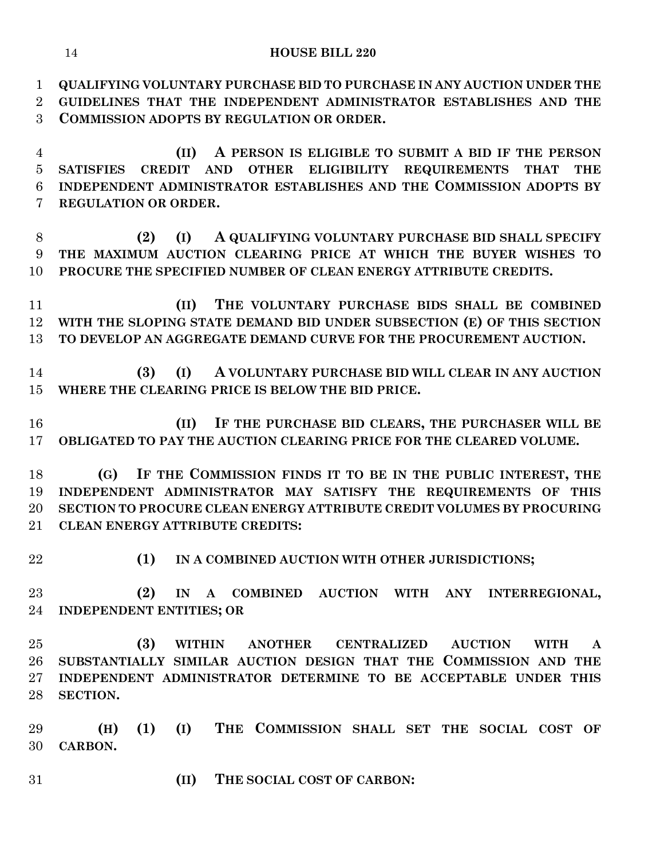**QUALIFYING VOLUNTARY PURCHASE BID TO PURCHASE IN ANY AUCTION UNDER THE GUIDELINES THAT THE INDEPENDENT ADMINISTRATOR ESTABLISHES AND THE COMMISSION ADOPTS BY REGULATION OR ORDER.**

 **(II) A PERSON IS ELIGIBLE TO SUBMIT A BID IF THE PERSON SATISFIES CREDIT AND OTHER ELIGIBILITY REQUIREMENTS THAT THE INDEPENDENT ADMINISTRATOR ESTABLISHES AND THE COMMISSION ADOPTS BY REGULATION OR ORDER.**

 **(2) (I) A QUALIFYING VOLUNTARY PURCHASE BID SHALL SPECIFY THE MAXIMUM AUCTION CLEARING PRICE AT WHICH THE BUYER WISHES TO PROCURE THE SPECIFIED NUMBER OF CLEAN ENERGY ATTRIBUTE CREDITS.**

 **(II) THE VOLUNTARY PURCHASE BIDS SHALL BE COMBINED WITH THE SLOPING STATE DEMAND BID UNDER SUBSECTION (E) OF THIS SECTION TO DEVELOP AN AGGREGATE DEMAND CURVE FOR THE PROCUREMENT AUCTION.**

 **(3) (I) A VOLUNTARY PURCHASE BID WILL CLEAR IN ANY AUCTION WHERE THE CLEARING PRICE IS BELOW THE BID PRICE.**

 **(II) IF THE PURCHASE BID CLEARS, THE PURCHASER WILL BE OBLIGATED TO PAY THE AUCTION CLEARING PRICE FOR THE CLEARED VOLUME.**

 **(G) IF THE COMMISSION FINDS IT TO BE IN THE PUBLIC INTEREST, THE INDEPENDENT ADMINISTRATOR MAY SATISFY THE REQUIREMENTS OF THIS SECTION TO PROCURE CLEAN ENERGY ATTRIBUTE CREDIT VOLUMES BY PROCURING CLEAN ENERGY ATTRIBUTE CREDITS:**

**(1) IN A COMBINED AUCTION WITH OTHER JURISDICTIONS;**

 **(2) IN A COMBINED AUCTION WITH ANY INTERREGIONAL, INDEPENDENT ENTITIES; OR**

 **(3) WITHIN ANOTHER CENTRALIZED AUCTION WITH A SUBSTANTIALLY SIMILAR AUCTION DESIGN THAT THE COMMISSION AND THE INDEPENDENT ADMINISTRATOR DETERMINE TO BE ACCEPTABLE UNDER THIS SECTION.**

 **(H) (1) (I) THE COMMISSION SHALL SET THE SOCIAL COST OF CARBON.**

**(II) THE SOCIAL COST OF CARBON:**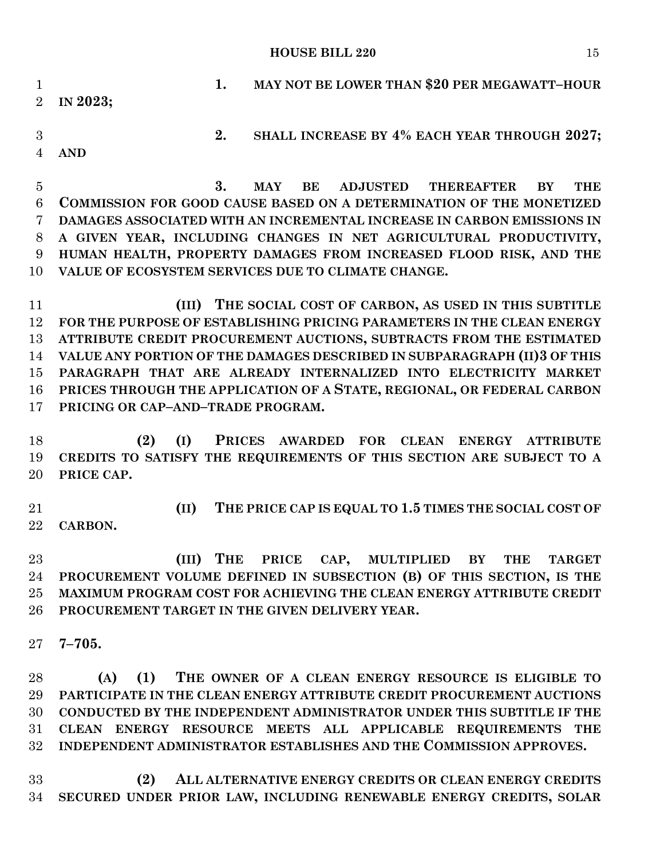**1. MAY NOT BE LOWER THAN \$20 PER MEGAWATT–HOUR IN 2023; 2. SHALL INCREASE BY 4% EACH YEAR THROUGH 2027; AND**

 **3. MAY BE ADJUSTED THEREAFTER BY THE COMMISSION FOR GOOD CAUSE BASED ON A DETERMINATION OF THE MONETIZED DAMAGES ASSOCIATED WITH AN INCREMENTAL INCREASE IN CARBON EMISSIONS IN A GIVEN YEAR, INCLUDING CHANGES IN NET AGRICULTURAL PRODUCTIVITY, HUMAN HEALTH, PROPERTY DAMAGES FROM INCREASED FLOOD RISK, AND THE VALUE OF ECOSYSTEM SERVICES DUE TO CLIMATE CHANGE.**

 **(III) THE SOCIAL COST OF CARBON, AS USED IN THIS SUBTITLE FOR THE PURPOSE OF ESTABLISHING PRICING PARAMETERS IN THE CLEAN ENERGY ATTRIBUTE CREDIT PROCUREMENT AUCTIONS, SUBTRACTS FROM THE ESTIMATED VALUE ANY PORTION OF THE DAMAGES DESCRIBED IN SUBPARAGRAPH (II)3 OF THIS PARAGRAPH THAT ARE ALREADY INTERNALIZED INTO ELECTRICITY MARKET PRICES THROUGH THE APPLICATION OF A STATE, REGIONAL, OR FEDERAL CARBON PRICING OR CAP–AND–TRADE PROGRAM.**

 **(2) (I) PRICES AWARDED FOR CLEAN ENERGY ATTRIBUTE CREDITS TO SATISFY THE REQUIREMENTS OF THIS SECTION ARE SUBJECT TO A PRICE CAP.**

 **(II) THE PRICE CAP IS EQUAL TO 1.5 TIMES THE SOCIAL COST OF CARBON.**

 **(III) THE PRICE CAP, MULTIPLIED BY THE TARGET PROCUREMENT VOLUME DEFINED IN SUBSECTION (B) OF THIS SECTION, IS THE MAXIMUM PROGRAM COST FOR ACHIEVING THE CLEAN ENERGY ATTRIBUTE CREDIT PROCUREMENT TARGET IN THE GIVEN DELIVERY YEAR.**

**7–705.**

 **(A) (1) THE OWNER OF A CLEAN ENERGY RESOURCE IS ELIGIBLE TO PARTICIPATE IN THE CLEAN ENERGY ATTRIBUTE CREDIT PROCUREMENT AUCTIONS CONDUCTED BY THE INDEPENDENT ADMINISTRATOR UNDER THIS SUBTITLE IF THE CLEAN ENERGY RESOURCE MEETS ALL APPLICABLE REQUIREMENTS THE INDEPENDENT ADMINISTRATOR ESTABLISHES AND THE COMMISSION APPROVES.**

 **(2) ALL ALTERNATIVE ENERGY CREDITS OR CLEAN ENERGY CREDITS SECURED UNDER PRIOR LAW, INCLUDING RENEWABLE ENERGY CREDITS, SOLAR**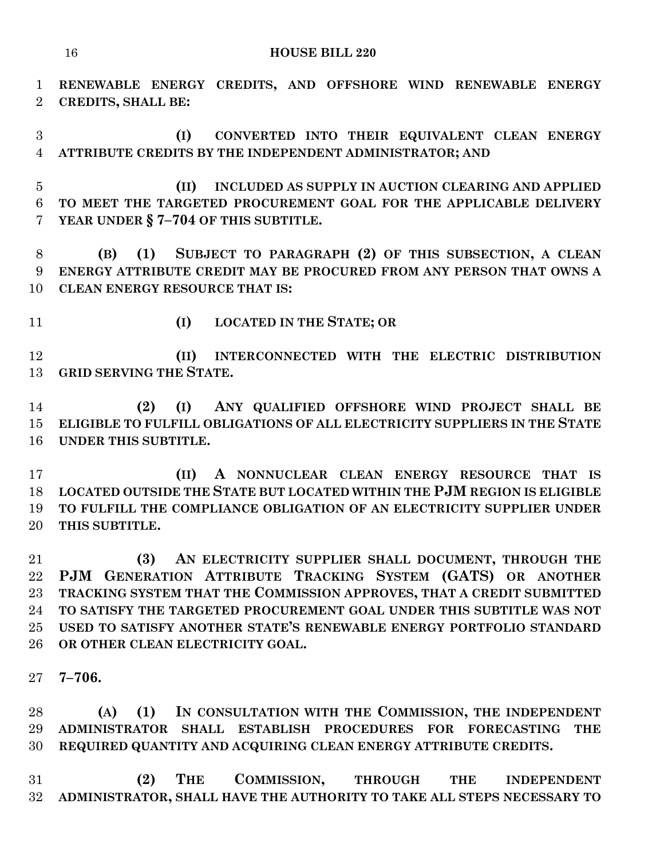**RENEWABLE ENERGY CREDITS, AND OFFSHORE WIND RENEWABLE ENERGY CREDITS, SHALL BE:**

 **(I) CONVERTED INTO THEIR EQUIVALENT CLEAN ENERGY ATTRIBUTE CREDITS BY THE INDEPENDENT ADMINISTRATOR; AND**

 **(II) INCLUDED AS SUPPLY IN AUCTION CLEARING AND APPLIED TO MEET THE TARGETED PROCUREMENT GOAL FOR THE APPLICABLE DELIVERY YEAR UNDER § 7–704 OF THIS SUBTITLE.**

 **(B) (1) SUBJECT TO PARAGRAPH (2) OF THIS SUBSECTION, A CLEAN ENERGY ATTRIBUTE CREDIT MAY BE PROCURED FROM ANY PERSON THAT OWNS A CLEAN ENERGY RESOURCE THAT IS:**

**(I) LOCATED IN THE STATE; OR**

 **(II) INTERCONNECTED WITH THE ELECTRIC DISTRIBUTION GRID SERVING THE STATE.**

 **(2) (I) ANY QUALIFIED OFFSHORE WIND PROJECT SHALL BE ELIGIBLE TO FULFILL OBLIGATIONS OF ALL ELECTRICITY SUPPLIERS IN THE STATE UNDER THIS SUBTITLE.**

 **(II) A NONNUCLEAR CLEAN ENERGY RESOURCE THAT IS LOCATED OUTSIDE THE STATE BUT LOCATED WITHIN THE PJM REGION IS ELIGIBLE TO FULFILL THE COMPLIANCE OBLIGATION OF AN ELECTRICITY SUPPLIER UNDER THIS SUBTITLE.**

 **(3) AN ELECTRICITY SUPPLIER SHALL DOCUMENT, THROUGH THE PJM GENERATION ATTRIBUTE TRACKING SYSTEM (GATS) OR ANOTHER TRACKING SYSTEM THAT THE COMMISSION APPROVES, THAT A CREDIT SUBMITTED TO SATISFY THE TARGETED PROCUREMENT GOAL UNDER THIS SUBTITLE WAS NOT USED TO SATISFY ANOTHER STATE'S RENEWABLE ENERGY PORTFOLIO STANDARD OR OTHER CLEAN ELECTRICITY GOAL.**

**7–706.**

 **(A) (1) IN CONSULTATION WITH THE COMMISSION, THE INDEPENDENT ADMINISTRATOR SHALL ESTABLISH PROCEDURES FOR FORECASTING THE REQUIRED QUANTITY AND ACQUIRING CLEAN ENERGY ATTRIBUTE CREDITS.**

 **(2) THE COMMISSION, THROUGH THE INDEPENDENT ADMINISTRATOR, SHALL HAVE THE AUTHORITY TO TAKE ALL STEPS NECESSARY TO**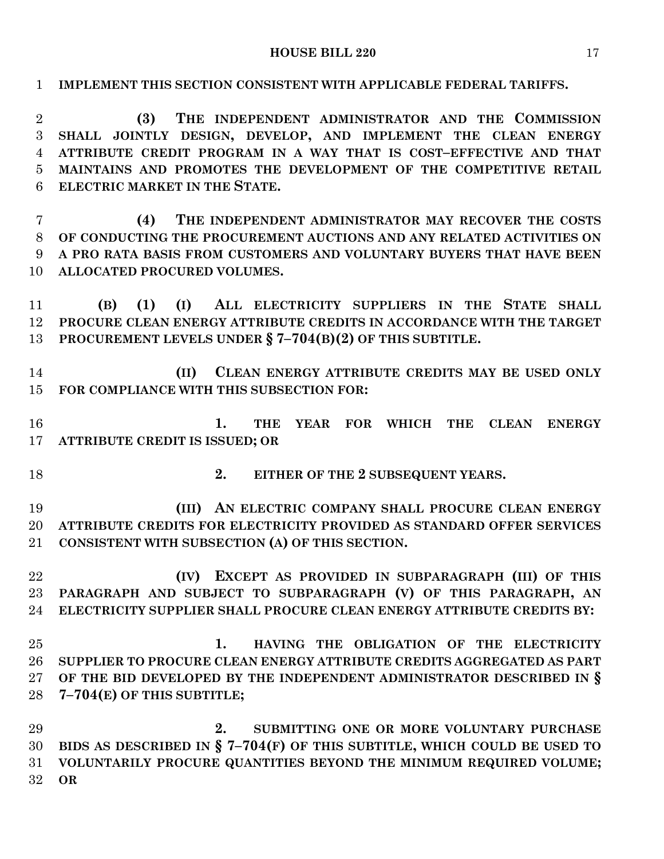| $\mathbf{1}$                                    | IMPLEMENT THIS SECTION CONSISTENT WITH APPLICABLE FEDERAL TARIFFS.                                                                                                                                                                                                                                 |  |  |  |  |  |
|-------------------------------------------------|----------------------------------------------------------------------------------------------------------------------------------------------------------------------------------------------------------------------------------------------------------------------------------------------------|--|--|--|--|--|
| $\overline{2}$<br>3<br>$\overline{4}$<br>5<br>6 | THE INDEPENDENT ADMINISTRATOR AND THE COMMISSION<br>(3)<br>SHALL JOINTLY DESIGN, DEVELOP, AND IMPLEMENT THE CLEAN ENERGY<br>ATTRIBUTE CREDIT PROGRAM IN A WAY THAT IS COST-EFFECTIVE AND THAT<br>MAINTAINS AND PROMOTES THE DEVELOPMENT OF THE COMPETITIVE RETAIL<br>ELECTRIC MARKET IN THE STATE. |  |  |  |  |  |
| $\overline{7}$                                  | THE INDEPENDENT ADMINISTRATOR MAY RECOVER THE COSTS<br>(4)                                                                                                                                                                                                                                         |  |  |  |  |  |
| 8                                               | OF CONDUCTING THE PROCUREMENT AUCTIONS AND ANY RELATED ACTIVITIES ON                                                                                                                                                                                                                               |  |  |  |  |  |
| 9                                               | A PRO RATA BASIS FROM CUSTOMERS AND VOLUNTARY BUYERS THAT HAVE BEEN                                                                                                                                                                                                                                |  |  |  |  |  |
| 10                                              | ALLOCATED PROCURED VOLUMES.                                                                                                                                                                                                                                                                        |  |  |  |  |  |
| 11                                              | (I) ALL ELECTRICITY SUPPLIERS IN THE STATE SHALL<br>(1)<br>(B)                                                                                                                                                                                                                                     |  |  |  |  |  |
| 12                                              | PROCURE CLEAN ENERGY ATTRIBUTE CREDITS IN ACCORDANCE WITH THE TARGET                                                                                                                                                                                                                               |  |  |  |  |  |
| 13                                              | PROCUREMENT LEVELS UNDER $\S$ 7-704(B)(2) OF THIS SUBTITLE.                                                                                                                                                                                                                                        |  |  |  |  |  |
|                                                 |                                                                                                                                                                                                                                                                                                    |  |  |  |  |  |
| 14                                              | CLEAN ENERGY ATTRIBUTE CREDITS MAY BE USED ONLY<br>(II)                                                                                                                                                                                                                                            |  |  |  |  |  |
| 15                                              | FOR COMPLIANCE WITH THIS SUBSECTION FOR:                                                                                                                                                                                                                                                           |  |  |  |  |  |
|                                                 |                                                                                                                                                                                                                                                                                                    |  |  |  |  |  |
| 16                                              | YEAR FOR WHICH THE<br>1.<br><b>THE</b><br><b>CLEAN ENERGY</b>                                                                                                                                                                                                                                      |  |  |  |  |  |
| 17                                              | ATTRIBUTE CREDIT IS ISSUED; OR                                                                                                                                                                                                                                                                     |  |  |  |  |  |
| 18                                              | 2.<br>EITHER OF THE 2 SUBSEQUENT YEARS.                                                                                                                                                                                                                                                            |  |  |  |  |  |
| 19                                              | (III) AN ELECTRIC COMPANY SHALL PROCURE CLEAN ENERGY                                                                                                                                                                                                                                               |  |  |  |  |  |
| 20                                              | ATTRIBUTE CREDITS FOR ELECTRICITY PROVIDED AS STANDARD OFFER SERVICES                                                                                                                                                                                                                              |  |  |  |  |  |
| 21                                              | CONSISTENT WITH SUBSECTION (A) OF THIS SECTION.                                                                                                                                                                                                                                                    |  |  |  |  |  |
|                                                 |                                                                                                                                                                                                                                                                                                    |  |  |  |  |  |
| 22                                              | (IV) EXCEPT AS PROVIDED IN SUBPARAGRAPH (III) OF THIS                                                                                                                                                                                                                                              |  |  |  |  |  |
| 23                                              | PARAGRAPH AND SUBJECT TO SUBPARAGRAPH (V) OF THIS PARAGRAPH, AN                                                                                                                                                                                                                                    |  |  |  |  |  |
| 24                                              | ELECTRICITY SUPPLIER SHALL PROCURE CLEAN ENERGY ATTRIBUTE CREDITS BY:                                                                                                                                                                                                                              |  |  |  |  |  |
|                                                 |                                                                                                                                                                                                                                                                                                    |  |  |  |  |  |
| 25                                              | 1.<br>HAVING THE OBLIGATION OF THE ELECTRICITY                                                                                                                                                                                                                                                     |  |  |  |  |  |
| 26<br>27                                        | SUPPLIER TO PROCURE CLEAN ENERGY ATTRIBUTE CREDITS AGGREGATED AS PART<br>OF THE BID DEVELOPED BY THE INDEPENDENT ADMINISTRATOR DESCRIBED IN $\S$                                                                                                                                                   |  |  |  |  |  |
| 28                                              | 7-704(E) OF THIS SUBTITLE;                                                                                                                                                                                                                                                                         |  |  |  |  |  |
|                                                 |                                                                                                                                                                                                                                                                                                    |  |  |  |  |  |
| 29                                              | 2.<br>SUBMITTING ONE OR MORE VOLUNTARY PURCHASE                                                                                                                                                                                                                                                    |  |  |  |  |  |
| 30                                              | BIDS AS DESCRIBED IN $\S$ 7-704(F) OF THIS SUBTITLE, WHICH COULD BE USED TO                                                                                                                                                                                                                        |  |  |  |  |  |
| 31                                              | VOLUNTARILY PROCURE QUANTITIES BEYOND THE MINIMUM REQUIRED VOLUME;                                                                                                                                                                                                                                 |  |  |  |  |  |
| 32                                              | <b>OR</b>                                                                                                                                                                                                                                                                                          |  |  |  |  |  |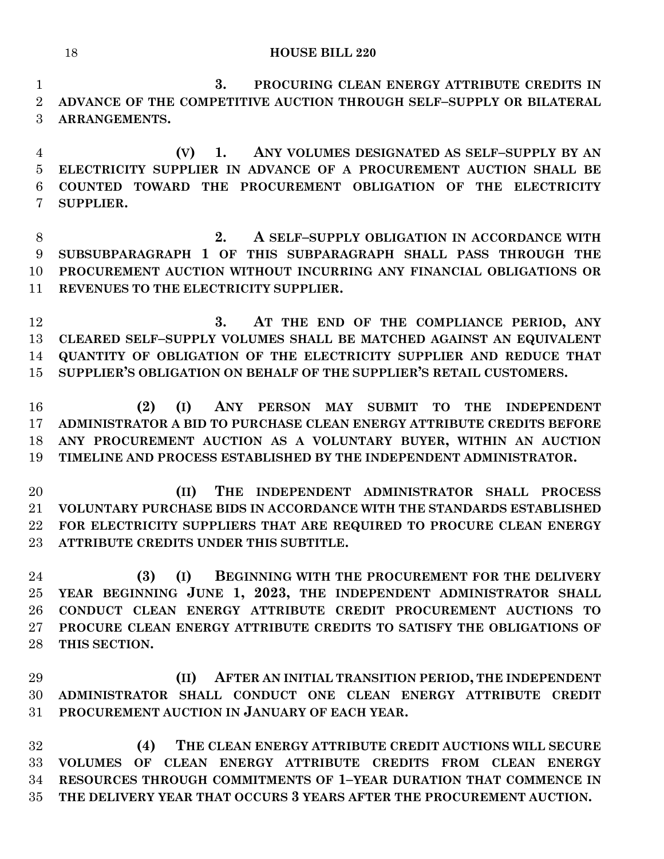**3. PROCURING CLEAN ENERGY ATTRIBUTE CREDITS IN ADVANCE OF THE COMPETITIVE AUCTION THROUGH SELF–SUPPLY OR BILATERAL ARRANGEMENTS.**

 **(V) 1. ANY VOLUMES DESIGNATED AS SELF–SUPPLY BY AN ELECTRICITY SUPPLIER IN ADVANCE OF A PROCUREMENT AUCTION SHALL BE COUNTED TOWARD THE PROCUREMENT OBLIGATION OF THE ELECTRICITY SUPPLIER.**

 **2. A SELF–SUPPLY OBLIGATION IN ACCORDANCE WITH SUBSUBPARAGRAPH 1 OF THIS SUBPARAGRAPH SHALL PASS THROUGH THE PROCUREMENT AUCTION WITHOUT INCURRING ANY FINANCIAL OBLIGATIONS OR REVENUES TO THE ELECTRICITY SUPPLIER.**

 **3. AT THE END OF THE COMPLIANCE PERIOD, ANY CLEARED SELF–SUPPLY VOLUMES SHALL BE MATCHED AGAINST AN EQUIVALENT QUANTITY OF OBLIGATION OF THE ELECTRICITY SUPPLIER AND REDUCE THAT SUPPLIER'S OBLIGATION ON BEHALF OF THE SUPPLIER'S RETAIL CUSTOMERS.**

 **(2) (I) ANY PERSON MAY SUBMIT TO THE INDEPENDENT ADMINISTRATOR A BID TO PURCHASE CLEAN ENERGY ATTRIBUTE CREDITS BEFORE ANY PROCUREMENT AUCTION AS A VOLUNTARY BUYER, WITHIN AN AUCTION TIMELINE AND PROCESS ESTABLISHED BY THE INDEPENDENT ADMINISTRATOR.**

 **(II) THE INDEPENDENT ADMINISTRATOR SHALL PROCESS VOLUNTARY PURCHASE BIDS IN ACCORDANCE WITH THE STANDARDS ESTABLISHED FOR ELECTRICITY SUPPLIERS THAT ARE REQUIRED TO PROCURE CLEAN ENERGY ATTRIBUTE CREDITS UNDER THIS SUBTITLE.**

 **(3) (I) BEGINNING WITH THE PROCUREMENT FOR THE DELIVERY YEAR BEGINNING JUNE 1, 2023, THE INDEPENDENT ADMINISTRATOR SHALL CONDUCT CLEAN ENERGY ATTRIBUTE CREDIT PROCUREMENT AUCTIONS TO PROCURE CLEAN ENERGY ATTRIBUTE CREDITS TO SATISFY THE OBLIGATIONS OF THIS SECTION.**

 **(II) AFTER AN INITIAL TRANSITION PERIOD, THE INDEPENDENT ADMINISTRATOR SHALL CONDUCT ONE CLEAN ENERGY ATTRIBUTE CREDIT PROCUREMENT AUCTION IN JANUARY OF EACH YEAR.**

 **(4) THE CLEAN ENERGY ATTRIBUTE CREDIT AUCTIONS WILL SECURE VOLUMES OF CLEAN ENERGY ATTRIBUTE CREDITS FROM CLEAN ENERGY RESOURCES THROUGH COMMITMENTS OF 1–YEAR DURATION THAT COMMENCE IN THE DELIVERY YEAR THAT OCCURS 3 YEARS AFTER THE PROCUREMENT AUCTION.**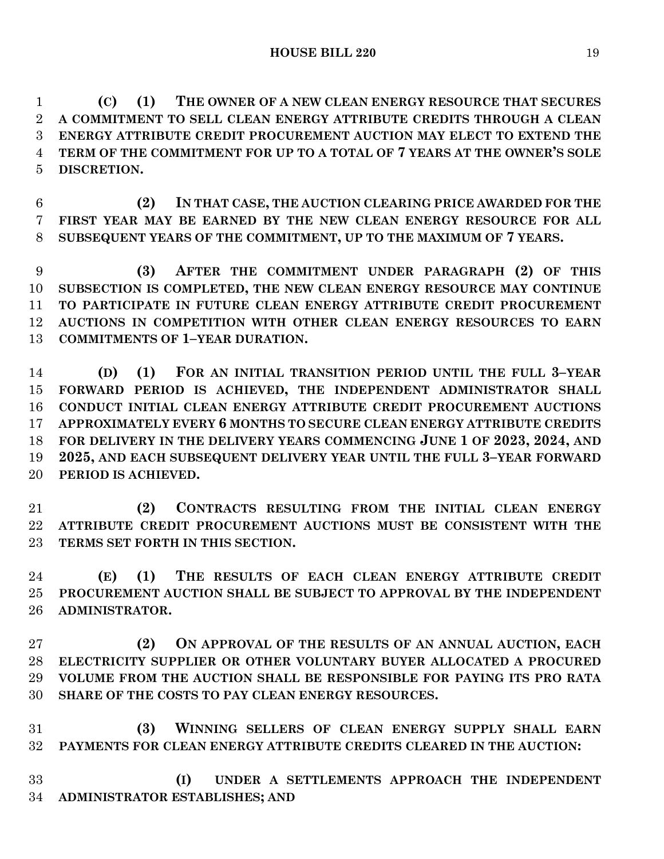**(C) (1) THE OWNER OF A NEW CLEAN ENERGY RESOURCE THAT SECURES A COMMITMENT TO SELL CLEAN ENERGY ATTRIBUTE CREDITS THROUGH A CLEAN ENERGY ATTRIBUTE CREDIT PROCUREMENT AUCTION MAY ELECT TO EXTEND THE TERM OF THE COMMITMENT FOR UP TO A TOTAL OF 7 YEARS AT THE OWNER'S SOLE DISCRETION.**

 **(2) IN THAT CASE, THE AUCTION CLEARING PRICE AWARDED FOR THE FIRST YEAR MAY BE EARNED BY THE NEW CLEAN ENERGY RESOURCE FOR ALL SUBSEQUENT YEARS OF THE COMMITMENT, UP TO THE MAXIMUM OF 7 YEARS.**

 **(3) AFTER THE COMMITMENT UNDER PARAGRAPH (2) OF THIS SUBSECTION IS COMPLETED, THE NEW CLEAN ENERGY RESOURCE MAY CONTINUE TO PARTICIPATE IN FUTURE CLEAN ENERGY ATTRIBUTE CREDIT PROCUREMENT AUCTIONS IN COMPETITION WITH OTHER CLEAN ENERGY RESOURCES TO EARN COMMITMENTS OF 1–YEAR DURATION.**

 **(D) (1) FOR AN INITIAL TRANSITION PERIOD UNTIL THE FULL 3–YEAR FORWARD PERIOD IS ACHIEVED, THE INDEPENDENT ADMINISTRATOR SHALL CONDUCT INITIAL CLEAN ENERGY ATTRIBUTE CREDIT PROCUREMENT AUCTIONS APPROXIMATELY EVERY 6 MONTHS TO SECURE CLEAN ENERGY ATTRIBUTE CREDITS FOR DELIVERY IN THE DELIVERY YEARS COMMENCING JUNE 1 OF 2023, 2024, AND 2025, AND EACH SUBSEQUENT DELIVERY YEAR UNTIL THE FULL 3–YEAR FORWARD PERIOD IS ACHIEVED.**

 **(2) CONTRACTS RESULTING FROM THE INITIAL CLEAN ENERGY ATTRIBUTE CREDIT PROCUREMENT AUCTIONS MUST BE CONSISTENT WITH THE TERMS SET FORTH IN THIS SECTION.**

 **(E) (1) THE RESULTS OF EACH CLEAN ENERGY ATTRIBUTE CREDIT PROCUREMENT AUCTION SHALL BE SUBJECT TO APPROVAL BY THE INDEPENDENT ADMINISTRATOR.**

 **(2) ON APPROVAL OF THE RESULTS OF AN ANNUAL AUCTION, EACH ELECTRICITY SUPPLIER OR OTHER VOLUNTARY BUYER ALLOCATED A PROCURED VOLUME FROM THE AUCTION SHALL BE RESPONSIBLE FOR PAYING ITS PRO RATA SHARE OF THE COSTS TO PAY CLEAN ENERGY RESOURCES.**

 **(3) WINNING SELLERS OF CLEAN ENERGY SUPPLY SHALL EARN PAYMENTS FOR CLEAN ENERGY ATTRIBUTE CREDITS CLEARED IN THE AUCTION:**

 **(I) UNDER A SETTLEMENTS APPROACH THE INDEPENDENT ADMINISTRATOR ESTABLISHES; AND**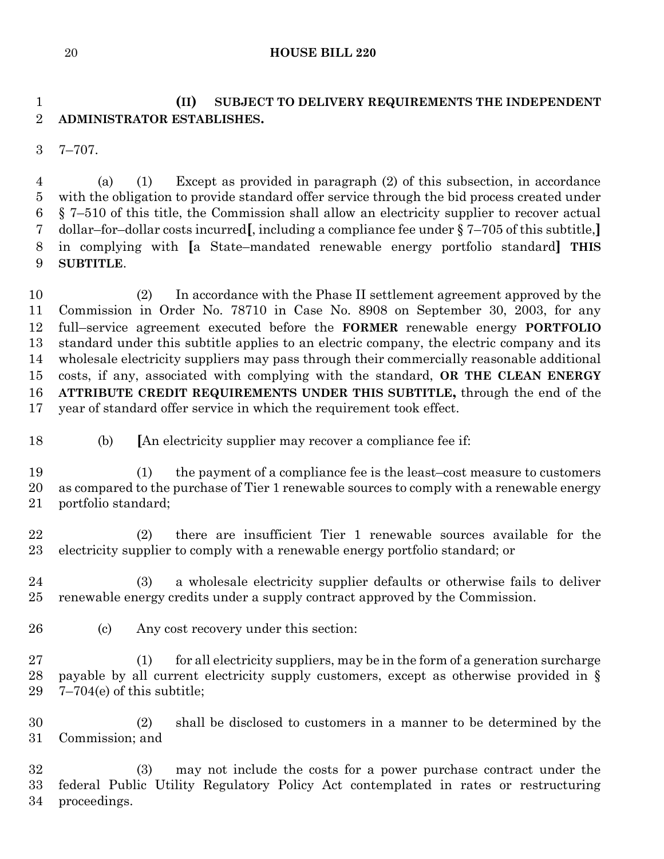# **(II) SUBJECT TO DELIVERY REQUIREMENTS THE INDEPENDENT ADMINISTRATOR ESTABLISHES.**

7–707.

 (a) (1) Except as provided in paragraph (2) of this subsection, in accordance with the obligation to provide standard offer service through the bid process created under § 7–510 of this title, the Commission shall allow an electricity supplier to recover actual dollar–for–dollar costs incurred**[**, including a compliance fee under § 7–705 of this subtitle,**]** in complying with **[**a State–mandated renewable energy portfolio standard**] THIS SUBTITLE**.

 (2) In accordance with the Phase II settlement agreement approved by the Commission in Order No. 78710 in Case No. 8908 on September 30, 2003, for any full–service agreement executed before the **FORMER** renewable energy **PORTFOLIO**  standard under this subtitle applies to an electric company, the electric company and its wholesale electricity suppliers may pass through their commercially reasonable additional costs, if any, associated with complying with the standard, **OR THE CLEAN ENERGY ATTRIBUTE CREDIT REQUIREMENTS UNDER THIS SUBTITLE,** through the end of the year of standard offer service in which the requirement took effect.

(b) **[**An electricity supplier may recover a compliance fee if:

 (1) the payment of a compliance fee is the least–cost measure to customers as compared to the purchase of Tier 1 renewable sources to comply with a renewable energy portfolio standard;

 (2) there are insufficient Tier 1 renewable sources available for the electricity supplier to comply with a renewable energy portfolio standard; or

 (3) a wholesale electricity supplier defaults or otherwise fails to deliver renewable energy credits under a supply contract approved by the Commission.

(c) Any cost recovery under this section:

 (1) for all electricity suppliers, may be in the form of a generation surcharge payable by all current electricity supply customers, except as otherwise provided in § 7–704(e) of this subtitle;

 (2) shall be disclosed to customers in a manner to be determined by the Commission; and

 (3) may not include the costs for a power purchase contract under the federal Public Utility Regulatory Policy Act contemplated in rates or restructuring proceedings.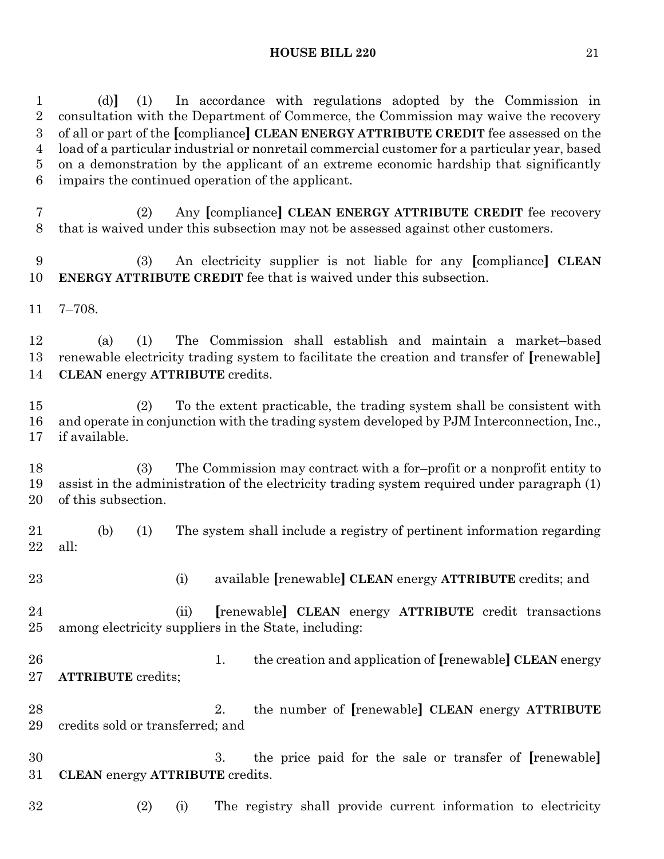(d)**]** (1) In accordance with regulations adopted by the Commission in consultation with the Department of Commerce, the Commission may waive the recovery of all or part of the **[**compliance**] CLEAN ENERGY ATTRIBUTE CREDIT** fee assessed on the load of a particular industrial or nonretail commercial customer for a particular year, based on a demonstration by the applicant of an extreme economic hardship that significantly impairs the continued operation of the applicant.

- (2) Any **[**compliance**] CLEAN ENERGY ATTRIBUTE CREDIT** fee recovery that is waived under this subsection may not be assessed against other customers.
- (3) An electricity supplier is not liable for any **[**compliance**] CLEAN ENERGY ATTRIBUTE CREDIT** fee that is waived under this subsection.
- 7–708.

 (a) (1) The Commission shall establish and maintain a market–based renewable electricity trading system to facilitate the creation and transfer of **[**renewable**] CLEAN** energy **ATTRIBUTE** credits.

 (2) To the extent practicable, the trading system shall be consistent with and operate in conjunction with the trading system developed by PJM Interconnection, Inc., if available.

 (3) The Commission may contract with a for–profit or a nonprofit entity to assist in the administration of the electricity trading system required under paragraph (1) of this subsection.

- (b) (1) The system shall include a registry of pertinent information regarding all:
- 

(i) available **[**renewable**] CLEAN** energy **ATTRIBUTE** credits; and

- (ii) **[**renewable**] CLEAN** energy **ATTRIBUTE** credit transactions among electricity suppliers in the State, including:
- 1. the creation and application of **[**renewable**] CLEAN** energy **ATTRIBUTE** credits;
- 2. the number of **[**renewable**] CLEAN** energy **ATTRIBUTE**  credits sold or transferred; and
- 3. the price paid for the sale or transfer of **[**renewable**] CLEAN** energy **ATTRIBUTE** credits.
- (2) (i) The registry shall provide current information to electricity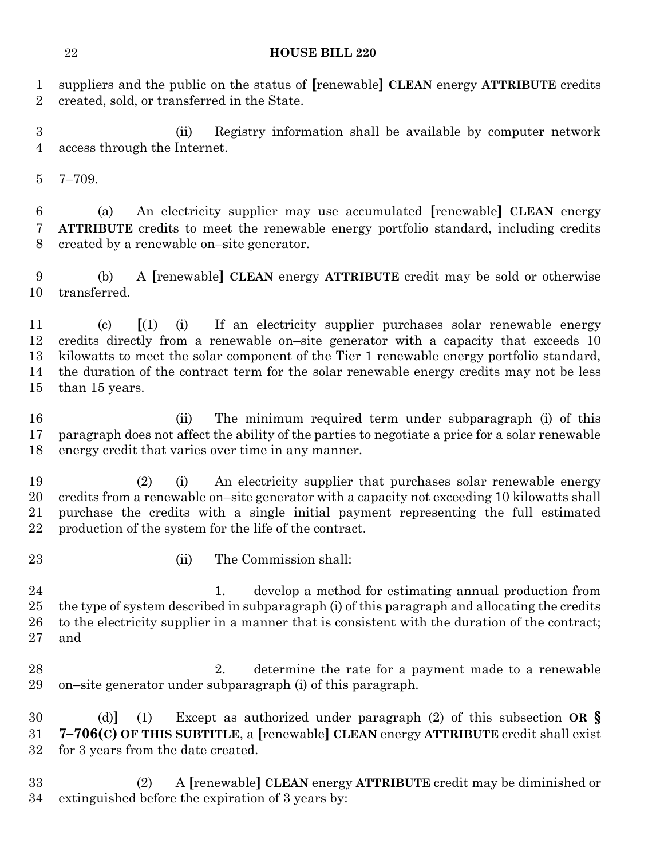suppliers and the public on the status of **[**renewable**] CLEAN** energy **ATTRIBUTE** credits created, sold, or transferred in the State.

 (ii) Registry information shall be available by computer network access through the Internet.

7–709.

 (a) An electricity supplier may use accumulated **[**renewable**] CLEAN** energy **ATTRIBUTE** credits to meet the renewable energy portfolio standard, including credits created by a renewable on–site generator.

 (b) A **[**renewable**] CLEAN** energy **ATTRIBUTE** credit may be sold or otherwise transferred.

 (c) **[**(1) (i) If an electricity supplier purchases solar renewable energy credits directly from a renewable on–site generator with a capacity that exceeds 10 kilowatts to meet the solar component of the Tier 1 renewable energy portfolio standard, the duration of the contract term for the solar renewable energy credits may not be less than 15 years.

 (ii) The minimum required term under subparagraph (i) of this paragraph does not affect the ability of the parties to negotiate a price for a solar renewable energy credit that varies over time in any manner.

 (2) (i) An electricity supplier that purchases solar renewable energy credits from a renewable on–site generator with a capacity not exceeding 10 kilowatts shall purchase the credits with a single initial payment representing the full estimated production of the system for the life of the contract.

- 
- 23 (ii) The Commission shall:

 1. develop a method for estimating annual production from the type of system described in subparagraph (i) of this paragraph and allocating the credits to the electricity supplier in a manner that is consistent with the duration of the contract; and

 2. determine the rate for a payment made to a renewable on–site generator under subparagraph (i) of this paragraph.

 (d)**]** (1) Except as authorized under paragraph (2) of this subsection **OR § 7–706(C) OF THIS SUBTITLE**, a **[**renewable**] CLEAN** energy **ATTRIBUTE** credit shall exist for 3 years from the date created.

 (2) A **[**renewable**] CLEAN** energy **ATTRIBUTE** credit may be diminished or extinguished before the expiration of 3 years by: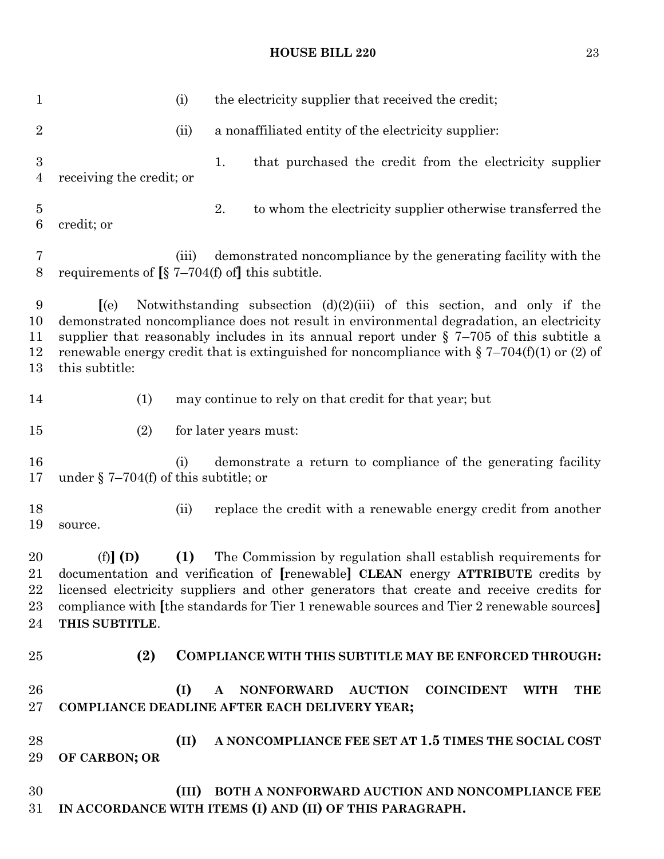| $\mathbf{1}$                       |                                                 | (i)   | the electricity supplier that received the credit;                                                                                                                                                                                                                                                                                                                   |
|------------------------------------|-------------------------------------------------|-------|----------------------------------------------------------------------------------------------------------------------------------------------------------------------------------------------------------------------------------------------------------------------------------------------------------------------------------------------------------------------|
| $\sqrt{2}$                         |                                                 | (ii)  | a nonaffiliated entity of the electricity supplier:                                                                                                                                                                                                                                                                                                                  |
| $\boldsymbol{3}$<br>$\overline{4}$ | receiving the credit; or                        |       | 1.<br>that purchased the credit from the electricity supplier                                                                                                                                                                                                                                                                                                        |
| $\overline{5}$<br>6                | credit; or                                      |       | 2.<br>to whom the electricity supplier otherwise transferred the                                                                                                                                                                                                                                                                                                     |
| $\overline{7}$<br>8                | requirements of $\S$ 7–704(f) of this subtitle. | (iii) | demonstrated noncompliance by the generating facility with the                                                                                                                                                                                                                                                                                                       |
| 9<br>10<br>11<br>12<br>13          | (e)<br>this subtitle:                           |       | Notwithstanding subsection $(d)(2)(iii)$ of this section, and only if the<br>demonstrated noncompliance does not result in environmental degradation, an electricity<br>supplier that reasonably includes in its annual report under $\S$ 7-705 of this subtitle a<br>renewable energy credit that is extinguished for noncompliance with $\S 7-704(f)(1)$ or (2) of |
| 14                                 | (1)                                             |       | may continue to rely on that credit for that year; but                                                                                                                                                                                                                                                                                                               |
| 15                                 | (2)                                             |       | for later years must:                                                                                                                                                                                                                                                                                                                                                |
| 16<br>17                           | under $\S 7-704(f)$ of this subtitle; or        | (i)   | demonstrate a return to compliance of the generating facility                                                                                                                                                                                                                                                                                                        |
| 18<br>19                           | source.                                         | (ii)  | replace the credit with a renewable energy credit from another                                                                                                                                                                                                                                                                                                       |
| 20<br>22<br>23<br>24               | $(f)$ $(D)$<br>THIS SUBTITLE.                   | (1)   | The Commission by regulation shall establish requirements for<br>21 documentation and verification of [renewable] CLEAN energy ATTRIBUTE credits by<br>licensed electricity suppliers and other generators that create and receive credits for<br>compliance with [the standards for Tier 1 renewable sources and Tier 2 renewable sources]                          |
| 25                                 | (2)                                             |       | COMPLIANCE WITH THIS SUBTITLE MAY BE ENFORCED THROUGH:                                                                                                                                                                                                                                                                                                               |
| 26<br>27                           |                                                 | (I)   | <b>NONFORWARD</b><br><b>AUCTION</b><br><b>COINCIDENT</b><br><b>THE</b><br><b>WITH</b><br>$\mathbf{A}$<br>COMPLIANCE DEADLINE AFTER EACH DELIVERY YEAR;                                                                                                                                                                                                               |
| 28<br>29                           | OF CARBON; OR                                   | (II)  | A NONCOMPLIANCE FEE SET AT 1.5 TIMES THE SOCIAL COST                                                                                                                                                                                                                                                                                                                 |
| 30<br>31                           |                                                 | (III) | BOTH A NONFORWARD AUCTION AND NONCOMPLIANCE FEE<br>IN ACCORDANCE WITH ITEMS (I) AND (II) OF THIS PARAGRAPH.                                                                                                                                                                                                                                                          |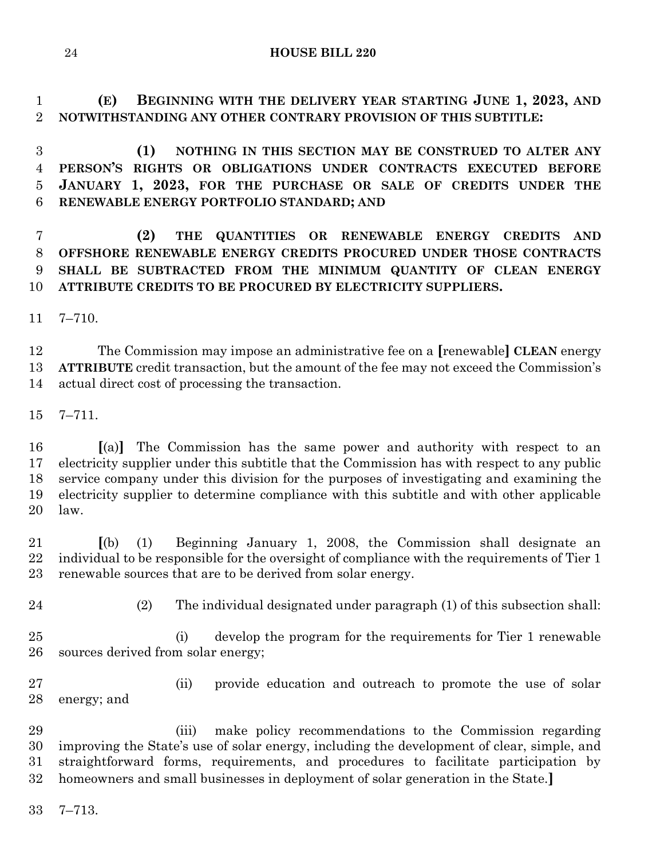**(E) BEGINNING WITH THE DELIVERY YEAR STARTING JUNE 1, 2023, AND NOTWITHSTANDING ANY OTHER CONTRARY PROVISION OF THIS SUBTITLE:**

 **(1) NOTHING IN THIS SECTION MAY BE CONSTRUED TO ALTER ANY PERSON'S RIGHTS OR OBLIGATIONS UNDER CONTRACTS EXECUTED BEFORE JANUARY 1, 2023, FOR THE PURCHASE OR SALE OF CREDITS UNDER THE RENEWABLE ENERGY PORTFOLIO STANDARD; AND**

 **(2) THE QUANTITIES OR RENEWABLE ENERGY CREDITS AND OFFSHORE RENEWABLE ENERGY CREDITS PROCURED UNDER THOSE CONTRACTS SHALL BE SUBTRACTED FROM THE MINIMUM QUANTITY OF CLEAN ENERGY ATTRIBUTE CREDITS TO BE PROCURED BY ELECTRICITY SUPPLIERS.**

7–710.

 The Commission may impose an administrative fee on a **[**renewable**] CLEAN** energy **ATTRIBUTE** credit transaction, but the amount of the fee may not exceed the Commission's actual direct cost of processing the transaction.

7–711.

 **[**(a)**]** The Commission has the same power and authority with respect to an electricity supplier under this subtitle that the Commission has with respect to any public service company under this division for the purposes of investigating and examining the electricity supplier to determine compliance with this subtitle and with other applicable law.

 **[**(b) (1) Beginning January 1, 2008, the Commission shall designate an 22 individual to be responsible for the oversight of compliance with the requirements of Tier 1 renewable sources that are to be derived from solar energy.

(2) The individual designated under paragraph (1) of this subsection shall:

 (i) develop the program for the requirements for Tier 1 renewable sources derived from solar energy;

 (ii) provide education and outreach to promote the use of solar energy; and

 (iii) make policy recommendations to the Commission regarding improving the State's use of solar energy, including the development of clear, simple, and straightforward forms, requirements, and procedures to facilitate participation by homeowners and small businesses in deployment of solar generation in the State.**]**

7–713.